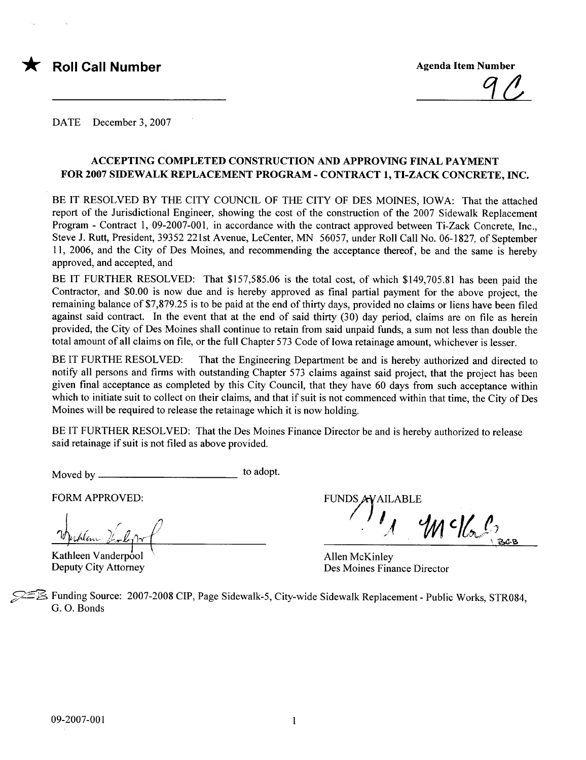

 $90$ 

DATE December 3, 2007

#### ACCEPTING COMPLETED CONSTRUCTION AND APPROVING FINAL PAYMENT FOR 2007 SIDEWALK REPLACEMENT PROGRAM - CONTRACT 1, TI-ZACK CONCRETE, INe.

BE IT RESOLVED BY THE CITY COUNCIL OF THE CITY OF DES MOINES, LOW A: That the attached report of the Jurisdictional Engineer, showing the cost of the construction of the 2007 Sidewalk Replacement Program - Contract 1, 09-2007-001, in accordance with the contract approved between Ti-Zack Concrete, Inc., Steve J. Rutt, President, 39352 221st Avenue, LeCenter, MN 56057, under Roll Call No. 06-1827, of September 11, 2006, and the City of Des Moines, and recommending the acceptance thereof, be and the same is hereby approved, and accepted, and

BE IT FURTHER RESOLVED: That \$157,585.06 is the total cost, of which \$149,705.81 has been paid the Contractor, and \$0.00 is now due and is hereby approved as final partial payment for the above project, the remaining balance of \$7,879.25 is to be paid at the end of thirty days, provided no claims or liens have been filed against said contract. In the event that at the end of said thirty (30) day period, claims are on file as herein provided, the City of Des Moines shall continue to retain from said unpaid funds, a sum not less than double the total amount of all claims on file, or the full Chapter 573 Code of Iowa retainage amount, whichever is lesser.

BE IT FURTHE RESOLVED: That the Engineering Department be and is hereby authorized and directed to notify all persons and firms with outstanding Chapter 573 claims against said project, that the project has been given final acceptance as completed by this City Council, that they have 60 days from such acceptance within which to initiate suit to collect on their claims, and that if suit is not commenced within that time, the City of Des Moines will be required to release the retainage which it is now holding.

BE IT FURTHER RESOLVED: That the Des Moines Finance Director be and is hereby authorized to release said retainage if suit is not fied as above provided.

Moved by to adopt.

FORM APPROVED:

 $\frac{1}{\sqrt{\frac{1}{2}}\int_{-\infty}^{\infty} \frac{1}{\sqrt{\frac{1}{2}}}}$ <br>Kathleen Vanderpool

Deputy City Attorney

FUNDS AVAILABLE  $M$  c $\bigvee_{\mathcal{C}} \bigwedge_{\mathcal{C}^{\circ}}$ 

Allen McKinley Des Moines Finance Director

 $\mathbb{\tilde{B}}$  Funding Source: 2007-2008 CIP, Page Sidewalk-5, City-wide Sidewalk Replacement - Public Works, STR084, G. O. Bonds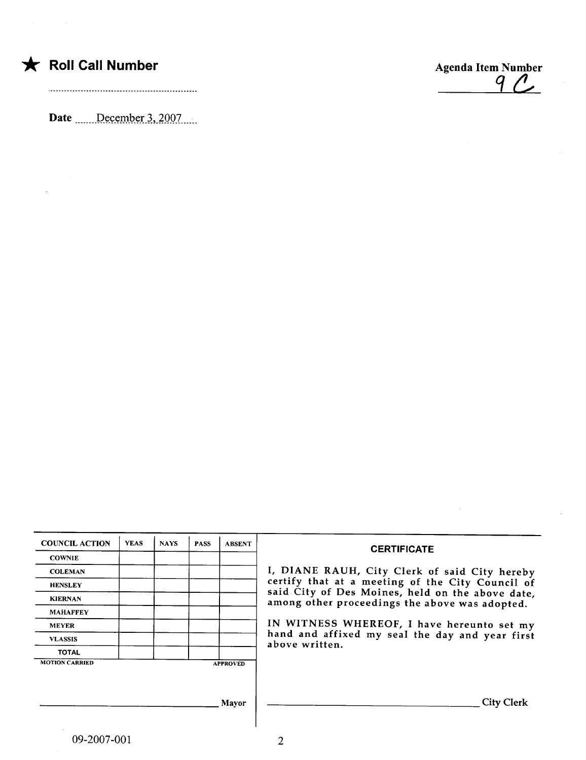|  | $\bigstar$ Roll Call Number |
|--|-----------------------------|
|  |                             |

 $\bar{\mathcal{A}}$ 

Date  $\frac{\text{December 3, 2007}}{\text{December 3}}$ 



| <b>COUNCIL ACTION</b> | <b>YEAS</b> | <b>NAYS</b> | <b>PASS</b> | <b>ABSENT</b>   | <b>CERTIFICATE</b>                                                                                 |
|-----------------------|-------------|-------------|-------------|-----------------|----------------------------------------------------------------------------------------------------|
| <b>COWNIE</b>         |             |             |             |                 |                                                                                                    |
| <b>COLEMAN</b>        |             |             |             |                 | I, DIANE RAUH, City Clerk of said City hereby                                                      |
| <b>HENSLEY</b>        |             |             |             |                 | certify that at a meeting of the City Council of                                                   |
| <b>KIERNAN</b>        |             |             |             |                 | said City of Des Moines, held on the above date,<br>among other proceedings the above was adopted. |
| <b>MAHAFFEY</b>       |             |             |             |                 |                                                                                                    |
| <b>MEYER</b>          |             |             |             |                 | IN WITNESS WHEREOF, I have hereunto set my                                                         |
| <b>VLASSIS</b>        |             |             |             |                 | hand and affixed my seal the day and year first<br>above written.                                  |
| <b>TOTAL</b>          |             |             |             |                 |                                                                                                    |
| <b>MOTION CARRIED</b> |             |             |             | <b>APPROVED</b> |                                                                                                    |
|                       |             |             |             |                 |                                                                                                    |
|                       |             |             |             |                 |                                                                                                    |
|                       |             |             |             | Mayor           | <b>City Clerk</b>                                                                                  |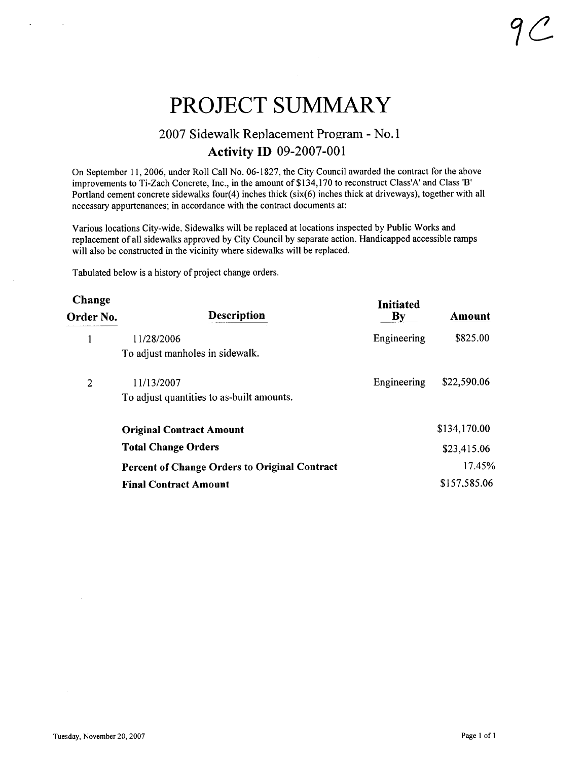# PROJECT SUMMARY

## 2007 Sidewalk Replacement Program - No.1 Activity ID 09-2007-001

On September 11,2006, under Roll Call No. 06-1827, the City Council awarded the contract for the above improvements to Ti-Zach Concrete, Inc., in the amount of \$134, 170 to reconstruct Class'A' and Class 'B' Portland cement concrete sidewalks four(4) inches thick (six(6) inches thick at driveways), together with all necessary appurtenances; in accordance with the contract documents at:

Various locations City-wide. Sidewalks wil be replaced at locations inspected by Public Works and replacement of all sidewalks approved by City Council by separate action. Handicapped accessible ramps will also be constructed in the vicinity where sidewalks will be replaced.

Tabulated below is a history of project change orders.

| Change<br>Order No. | <b>Description</b>                                   | <b>Initiated</b><br>By | Amount       |
|---------------------|------------------------------------------------------|------------------------|--------------|
|                     | 11/28/2006                                           | Engineering            | \$825.00     |
|                     | To adjust manholes in sidewalk.                      |                        |              |
| 2                   | 11/13/2007                                           | Engineering            | \$22,590.06  |
|                     | To adjust quantities to as-built amounts.            |                        |              |
|                     | <b>Original Contract Amount</b>                      |                        | \$134,170.00 |
|                     | <b>Total Change Orders</b>                           |                        | \$23,415.06  |
|                     | <b>Percent of Change Orders to Original Contract</b> |                        | 17.45%       |
|                     | <b>Final Contract Amount</b>                         |                        | \$157,585.06 |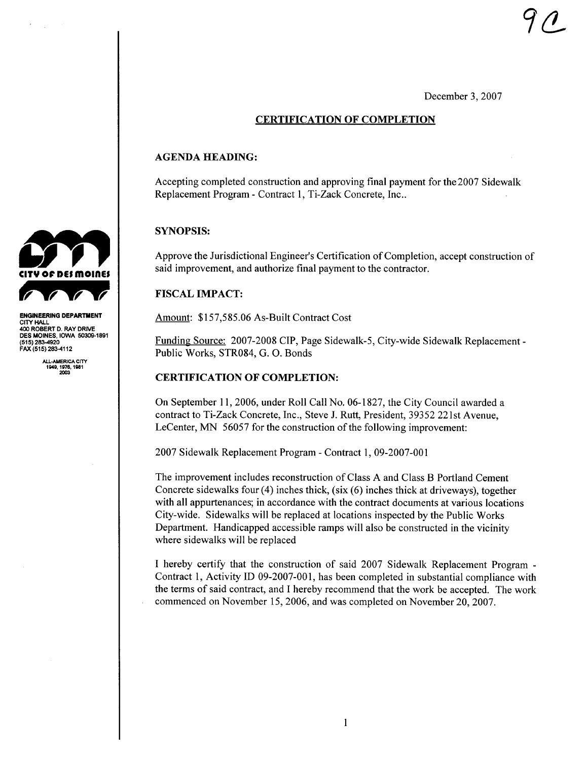December 3, 2007

### CERTIFICATION OF COMPLETION

#### AGENDA HEADING:

Accepting completed construction and approving final payment for the 2007 Sidewalk Replacement Program - Contract 1, Ti-Zack Concrete, Inc..

#### SYNOPSIS:

Approve the Jurisdictional Engineer's Certification of Completion, accept construction of said improvement, and authorize final payment to the contractor.

#### FISCAL IMPACT:

Amount: \$157,585.06 As-Built Contract Cost

Funding Source: 2007-2008 CIP, Page Sidewalk-5, City-wide Sidewalk Replacement-Public Works, STR084, G. O. Bonds

#### CERTIFICATION OF COMPLETION:

On September 11, 2006, under Roll Call No. 06-1827, the City Council awarded a contract to Ti-Zack Concrete, Inc., Steve J. Rutt, President, 39352 221st Avenue, LeCenter, MN 56057 for the construction of the following improvement:

2007 Sidewalk Replacement Program - Contract 1, 09-2007-001

The improvement includes reconstruction of Class A and Class B Portland Cement Concrete sidewalks four (4) inches thick, (six (6) inches thick at driveways), together with all appurtenances; in accordance with the contract documents at various locations City-wide. Sidewalks will be replaced at locations inspected by the Public Works Department. Handicapped accessible ramps will also be constructed in the vicinity where sidewalks will be replaced

I hereby certify that the construction of said 2007 Sidewalk Replacement Program - Contract 1, Activity ID 09-2007-001, has been completed in substantial compliance with the terms of said contract, and I hereby recommend that the work be accepted. The work commenced on November 15,2006, and was completed on November 20,2007.



ENGINEERING DEPARTMENT CITY HAL 400 ROBERT D. RAY DRIVE<br>DE<mark>S MOIN</mark>ES, IOWA 50309-1891 (515) 283-920 FAX (515) 283-4112

ALL-AMERICA CITY<br>1949, 1976, 1981<br>2003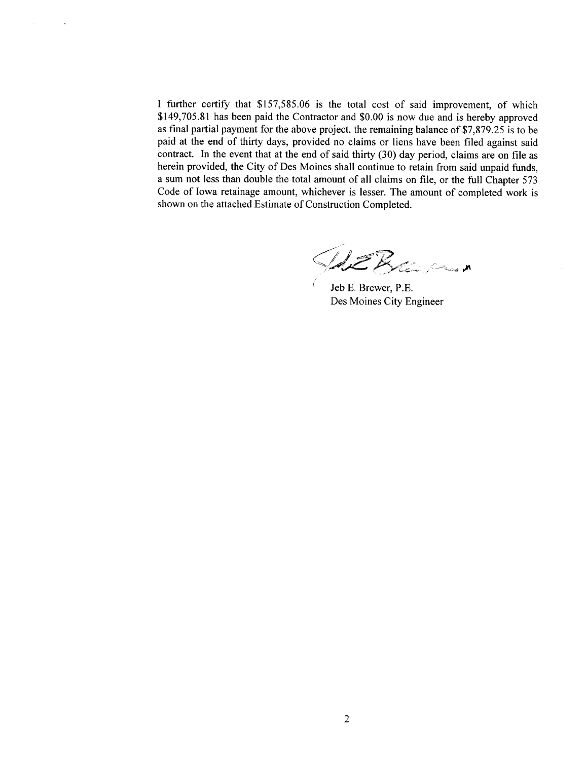I further certify that \$157,585.06 is the total cost of said improvement, of which \$149,705,81 has been paid the Contractor and \$0.00 is now due and is hereby approved as final partial payment for the above project, the remaining balance of \$7,879.25 is to be paid at the end of thirty days, provided no claims or liens have been filed against said contract. In the event that at the end of said thirty (30) day period, claims are on file as herein provided, the City of Des Moines shall continue to retain from said unpaid funds, a sum not less than double the total amount of all claims on fie, or the full Chapter 573 Code of Iowa retainage amount, whichever is lesser. The amount of completed work is shown on the attached Estimate of Construction Completed,

AEBran

Jeb E, Brewer, P.E. Des Moines City Engineer